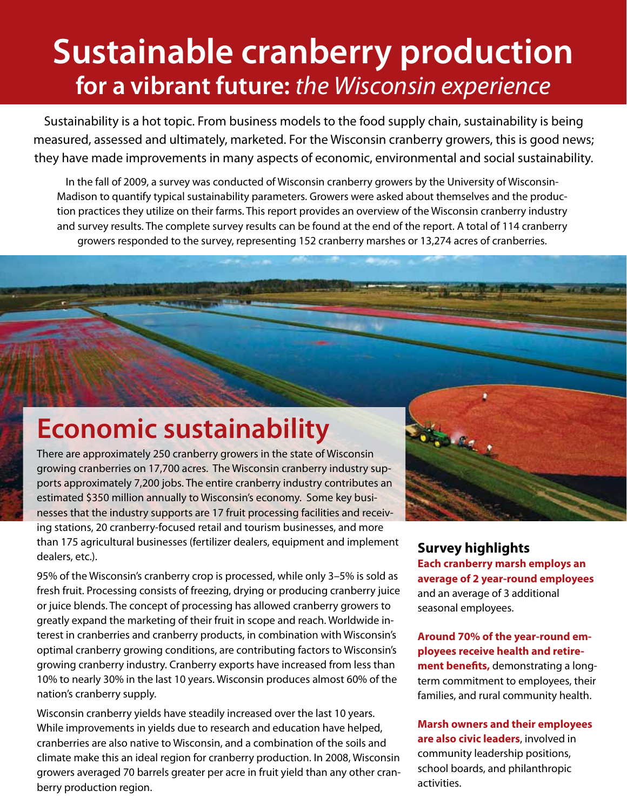## **Sustainable cranberry production for a vibrant future:** *the Wisconsin experience*

Sustainability is a hot topic. From business models to the food supply chain, sustainability is being measured, assessed and ultimately, marketed. For the Wisconsin cranberry growers, this is good news; they have made improvements in many aspects of economic, environmental and social sustainability.

In the fall of 2009, a survey was conducted of Wisconsin cranberry growers by the University of Wisconsin-Madison to quantify typical sustainability parameters. Growers were asked about themselves and the production practices they utilize on their farms. This report provides an overview of the Wisconsin cranberry industry and survey results. The complete survey results can be found at the end of the report. A total of 114 cranberry growers responded to the survey, representing 152 cranberry marshes or 13,274 acres of cranberries.

## **Economic sustainability**

There are approximately 250 cranberry growers in the state of Wisconsin growing cranberries on 17,700 acres. The Wisconsin cranberry industry supports approximately 7,200 jobs. The entire cranberry industry contributes an estimated \$350 million annually to Wisconsin's economy. Some key businesses that the industry supports are 17 fruit processing facilities and receiving stations, 20 cranberry-focused retail and tourism businesses, and more than 175 agricultural businesses (fertilizer dealers, equipment and implement dealers, etc.).

95% of the Wisconsin's cranberry crop is processed, while only 3–5% is sold as fresh fruit. Processing consists of freezing, drying or producing cranberry juice or juice blends. The concept of processing has allowed cranberry growers to greatly expand the marketing of their fruit in scope and reach. Worldwide interest in cranberries and cranberry products, in combination with Wisconsin's optimal cranberry growing conditions, are contributing factors to Wisconsin's growing cranberry industry. Cranberry exports have increased from less than 10% to nearly 30% in the last 10 years. Wisconsin produces almost 60% of the nation's cranberry supply.

Wisconsin cranberry yields have steadily increased over the last 10 years. While improvements in yields due to research and education have helped, cranberries are also native to Wisconsin, and a combination of the soils and climate make this an ideal region for cranberry production. In 2008, Wisconsin growers averaged 70 barrels greater per acre in fruit yield than any other cranberry production region.

#### **Survey highlights Each cranberry marsh employs an average of 2 year-round employees** and an average of 3 additional seasonal employees.

**Around 70% of the year-round employees receive health and retirement benefits,** demonstrating a longterm commitment to employees, their families, and rural community health.

**Marsh owners and their employees are also civic leaders**, involved in community leadership positions, school boards, and philanthropic activities.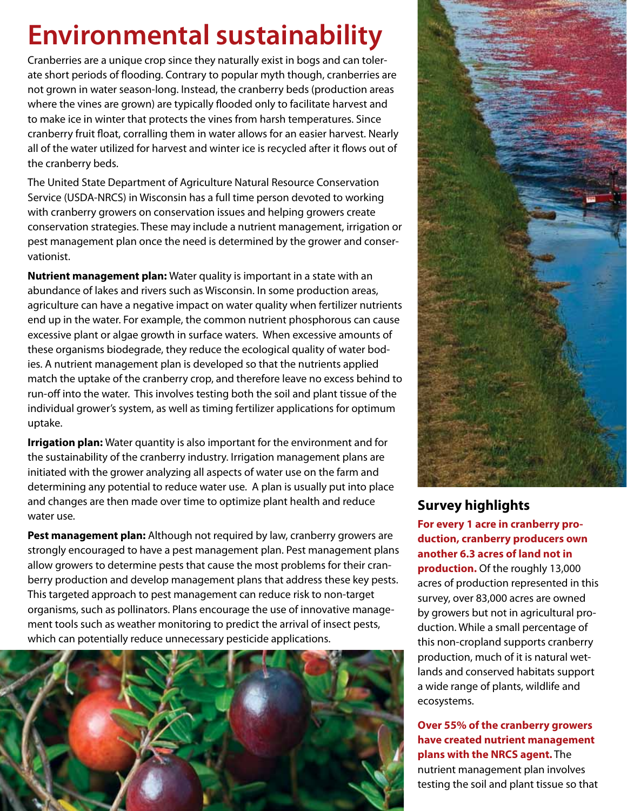## **Environmental sustainability**

Cranberries are a unique crop since they naturally exist in bogs and can tolerate short periods of flooding. Contrary to popular myth though, cranberries are not grown in water season-long. Instead, the cranberry beds (production areas where the vines are grown) are typically flooded only to facilitate harvest and to make ice in winter that protects the vines from harsh temperatures. Since cranberry fruit float, corralling them in water allows for an easier harvest. Nearly all of the water utilized for harvest and winter ice is recycled after it flows out of the cranberry beds.

The United State Department of Agriculture Natural Resource Conservation Service (USDA-NRCS) in Wisconsin has a full time person devoted to working with cranberry growers on conservation issues and helping growers create conservation strategies. These may include a nutrient management, irrigation or pest management plan once the need is determined by the grower and conservationist.

**Nutrient management plan:** Water quality is important in a state with an abundance of lakes and rivers such as Wisconsin. In some production areas, agriculture can have a negative impact on water quality when fertilizer nutrients end up in the water. For example, the common nutrient phosphorous can cause excessive plant or algae growth in surface waters. When excessive amounts of these organisms biodegrade, they reduce the ecological quality of water bodies. A nutrient management plan is developed so that the nutrients applied match the uptake of the cranberry crop, and therefore leave no excess behind to run-off into the water. This involves testing both the soil and plant tissue of the individual grower's system, as well as timing fertilizer applications for optimum uptake.

**Irrigation plan:** Water quantity is also important for the environment and for the sustainability of the cranberry industry. Irrigation management plans are initiated with the grower analyzing all aspects of water use on the farm and determining any potential to reduce water use. A plan is usually put into place and changes are then made over time to optimize plant health and reduce water use.

**Pest management plan:** Although not required by law, cranberry growers are strongly encouraged to have a pest management plan. Pest management plans allow growers to determine pests that cause the most problems for their cranberry production and develop management plans that address these key pests. This targeted approach to pest management can reduce risk to non-target organisms, such as pollinators. Plans encourage the use of innovative management tools such as weather monitoring to predict the arrival of insect pests, which can potentially reduce unnecessary pesticide applications.





#### **Survey highlights**

**For every 1 acre in cranberry production, cranberry producers own another 6.3 acres of land not in production.** Of the roughly 13,000 acres of production represented in this survey, over 83,000 acres are owned by growers but not in agricultural production. While a small percentage of this non-cropland supports cranberry production, much of it is natural wetlands and conserved habitats support a wide range of plants, wildlife and ecosystems.

**Over 55% of the cranberry growers have created nutrient management plans with the NRCS agent.** The nutrient management plan involves testing the soil and plant tissue so that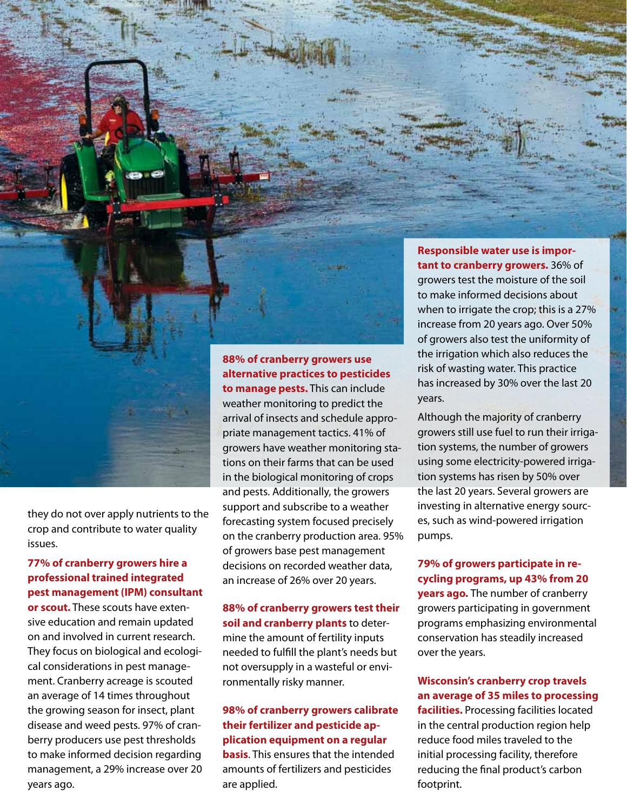

they do not over apply nutrients to the crop and contribute to water quality issues.

#### **77% of cranberry growers hire a professional trained integrated pest management (IPM) consultant**

**or scout.** These scouts have extensive education and remain updated on and involved in current research. They focus on biological and ecological considerations in pest management. Cranberry acreage is scouted an average of 14 times throughout the growing season for insect, plant disease and weed pests. 97% of cranberry producers use pest thresholds to make informed decision regarding management, a 29% increase over 20 years ago.

### **88% of cranberry growers use alternative practices to pesticides**

**to manage pests.** This can include weather monitoring to predict the arrival of insects and schedule appropriate management tactics. 41% of growers have weather monitoring stations on their farms that can be used in the biological monitoring of crops and pests. Additionally, the growers support and subscribe to a weather forecasting system focused precisely on the cranberry production area. 95% of growers base pest management decisions on recorded weather data, an increase of 26% over 20 years.

#### **88% of cranberry growers test their soil and cranberry plants** to determine the amount of fertility inputs needed to fulfill the plant's needs but not oversupply in a wasteful or environmentally risky manner.

**98% of cranberry growers calibrate their fertilizer and pesticide application equipment on a regular basis**. This ensures that the intended amounts of fertilizers and pesticides are applied.

**Responsible water use is important to cranberry growers.** 36% of growers test the moisture of the soil to make informed decisions about when to irrigate the crop; this is a 27% increase from 20 years ago. Over 50% of growers also test the uniformity of the irrigation which also reduces the risk of wasting water. This practice has increased by 30% over the last 20 years.

Although the majority of cranberry growers still use fuel to run their irrigation systems, the number of growers using some electricity-powered irrigation systems has risen by 50% over the last 20 years. Several growers are investing in alternative energy sources, such as wind-powered irrigation pumps.

#### **79% of growers participate in recycling programs, up 43% from 20**

**years ago.** The number of cranberry growers participating in government programs emphasizing environmental conservation has steadily increased over the years.

#### **Wisconsin's cranberry crop travels an average of 35 miles to processing**

**facilities.** Processing facilities located in the central production region help reduce food miles traveled to the initial processing facility, therefore reducing the final product's carbon footprint.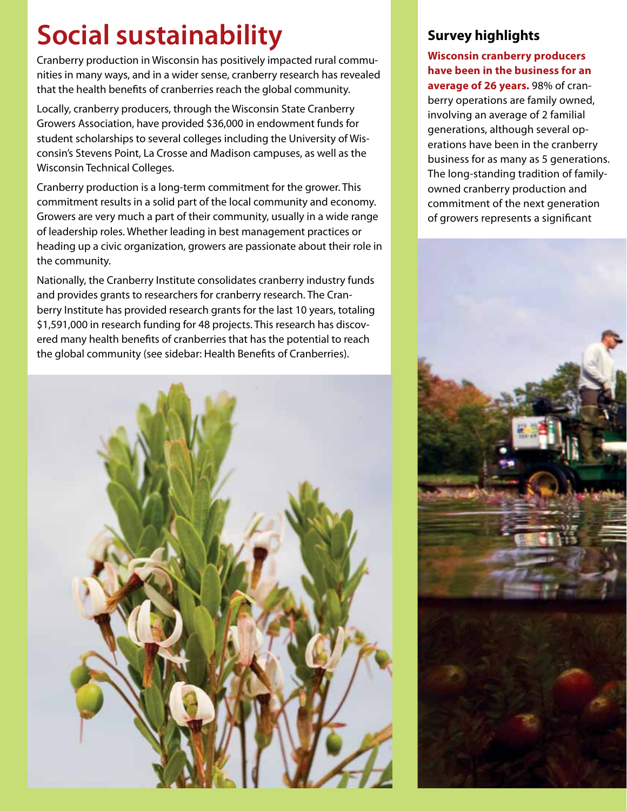# **Social sustainability**

Cranberry production in Wisconsin has positively impacted rural communities in many ways, and in a wider sense, cranberry research has revealed that the health benefits of cranberries reach the global community.

Locally, cranberry producers, through the Wisconsin State Cranberry Growers Association, have provided \$36,000 in endowment funds for student scholarships to several colleges including the University of Wisconsin's Stevens Point, La Crosse and Madison campuses, as well as the Wisconsin Technical Colleges.

Cranberry production is a long-term commitment for the grower. This commitment results in a solid part of the local community and economy. Growers are very much a part of their community, usually in a wide range of leadership roles. Whether leading in best management practices or heading up a civic organization, growers are passionate about their role in the community.

Nationally, the Cranberry Institute consolidates cranberry industry funds and provides grants to researchers for cranberry research. The Cranberry Institute has provided research grants for the last 10 years, totaling \$1,591,000 in research funding for 48 projects. This research has discovered many health benefits of cranberries that has the potential to reach the global community (see sidebar: Health Benefits of Cranberries).



#### **Survey highlights**

**Wisconsin cranberry producers have been in the business for an average of 26 years.** 98% of cranberry operations are family owned, involving an average of 2 familial generations, although several operations have been in the cranberry business for as many as 5 generations. The long-standing tradition of familyowned cranberry production and commitment of the next generation of growers represents a significant

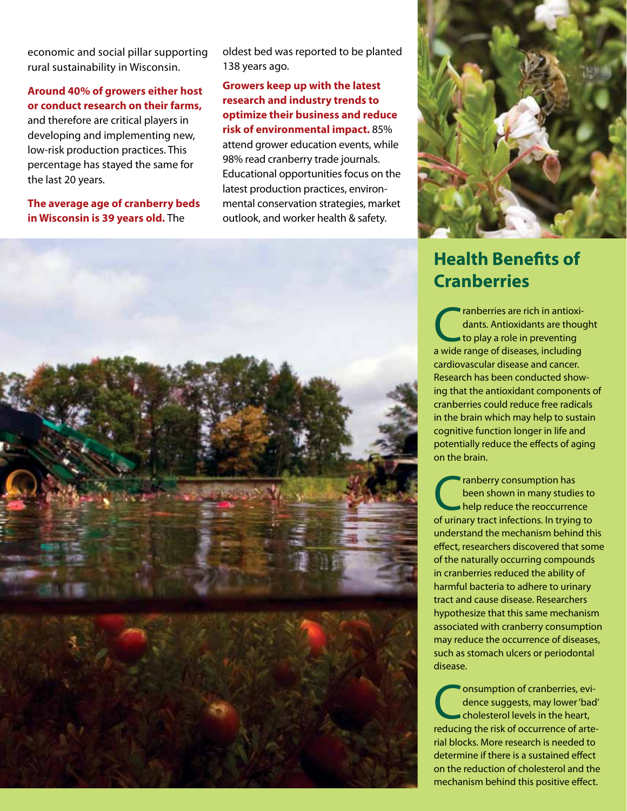economic and social pillar supporting rural sustainability in Wisconsin.

#### **Around 40% of growers either host or conduct research on their farms,** and therefore are critical players in developing and implementing new, low-risk production practices. This percentage has stayed the same for

**The average age of cranberry beds in Wisconsin is 39 years old.** The

the last 20 years.

oldest bed was reported to be planted 138 years ago.

**Growers keep up with the latest research and industry trends to optimize their business and reduce risk of environmental impact.** 85% attend grower education events, while 98% read cranberry trade journals. Educational opportunities focus on the latest production practices, environmental conservation strategies, market outlook, and worker health & safety.



### **Health Benefits of Cranberries**

**CALC** ranberries are rich in antioxidants are thought to play a role in preventing dants. Antioxidants are thought to play a role in preventing a wide range of diseases, including cardiovascular disease and cancer. Research has been conducted showing that the antioxidant components of cranberries could reduce free radicals in the brain which may help to sustain cognitive function longer in life and potentially reduce the effects of aging on the brain.

Tranberry consumption has<br>been shown in many studies<br>help reduce the reoccurrence been shown in many studies to help reduce the reoccurrence of urinary tract infections. In trying to understand the mechanism behind this effect, researchers discovered that some of the naturally occurring compounds in cranberries reduced the ability of harmful bacteria to adhere to urinary tract and cause disease. Researchers hypothesize that this same mechanism associated with cranberry consumption may reduce the occurrence of diseases, such as stomach ulcers or periodontal disease.

Consumption of cranberries, evidence suggests, may lower 'back cholesterol levels in the heart, dence suggests, may lower 'bad' cholesterol levels in the heart, reducing the risk of occurrence of arterial blocks. More research is needed to determine if there is a sustained effect on the reduction of cholesterol and the mechanism behind this positive effect.

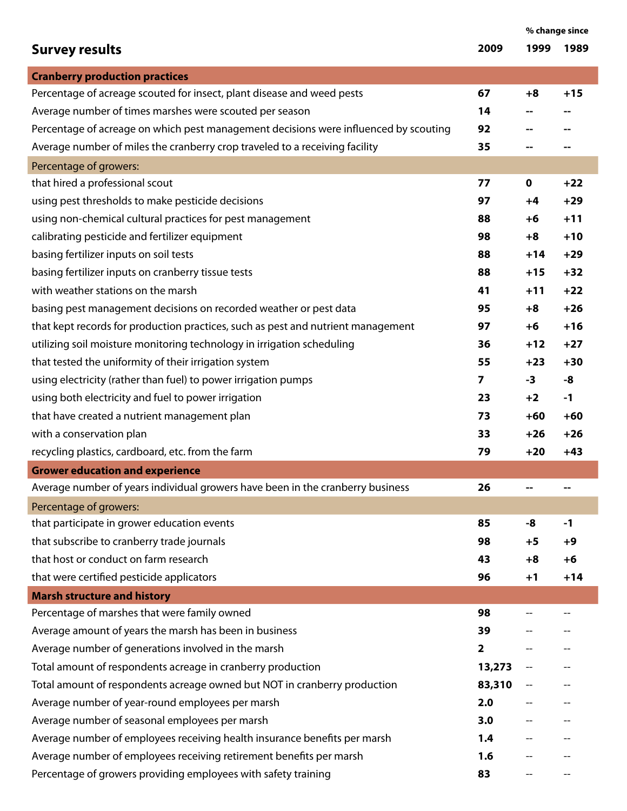|                                                                                      |                         | % change since |       |
|--------------------------------------------------------------------------------------|-------------------------|----------------|-------|
| <b>Survey results</b>                                                                | 2009                    | 1999           | 1989  |
| <b>Cranberry production practices</b>                                                |                         |                |       |
| Percentage of acreage scouted for insect, plant disease and weed pests               | 67                      | $+8$           | $+15$ |
| Average number of times marshes were scouted per season                              | 14                      |                |       |
| Percentage of acreage on which pest management decisions were influenced by scouting | 92                      |                |       |
| Average number of miles the cranberry crop traveled to a receiving facility          | 35                      |                |       |
| Percentage of growers:                                                               |                         |                |       |
| that hired a professional scout                                                      | 77                      | 0              | $+22$ |
| using pest thresholds to make pesticide decisions                                    | 97                      | +4             | $+29$ |
| using non-chemical cultural practices for pest management                            | 88                      | +6             | $+11$ |
| calibrating pesticide and fertilizer equipment                                       | 98                      | $+8$           | $+10$ |
| basing fertilizer inputs on soil tests                                               | 88                      | $+14$          | $+29$ |
| basing fertilizer inputs on cranberry tissue tests                                   | 88                      | $+15$          | $+32$ |
| with weather stations on the marsh                                                   | 41                      | $+11$          | $+22$ |
| basing pest management decisions on recorded weather or pest data                    | 95                      | $+8$           | $+26$ |
| that kept records for production practices, such as pest and nutrient management     | 97                      | +6             | $+16$ |
| utilizing soil moisture monitoring technology in irrigation scheduling               | 36                      | $+12$          | $+27$ |
| that tested the uniformity of their irrigation system                                | 55                      | $+23$          | $+30$ |
| using electricity (rather than fuel) to power irrigation pumps                       | $\overline{\mathbf{z}}$ | $-3$           | -8    |
| using both electricity and fuel to power irrigation                                  | 23                      | $+2$           | $-1$  |
| that have created a nutrient management plan                                         | 73                      | $+60$          | $+60$ |
| with a conservation plan                                                             | 33                      | $+26$          | $+26$ |
| recycling plastics, cardboard, etc. from the farm                                    | 79                      | $+20$          | $+43$ |
| <b>Grower education and experience</b>                                               |                         |                |       |
| Average number of years individual growers have been in the cranberry business       | 26                      |                |       |
| Percentage of growers:                                                               |                         |                |       |
| that participate in grower education events                                          | 85                      | -8             | $-1$  |
| that subscribe to cranberry trade journals                                           | 98                      | +5             | +9    |
| that host or conduct on farm research                                                | 43                      | $+8$           | $+6$  |
| that were certified pesticide applicators                                            | 96                      | $+1$           | $+14$ |
| <b>Marsh structure and history</b>                                                   |                         |                |       |
| Percentage of marshes that were family owned                                         | 98                      |                |       |
| Average amount of years the marsh has been in business                               | 39                      |                |       |
| Average number of generations involved in the marsh                                  | $\overline{\mathbf{2}}$ |                |       |
| Total amount of respondents acreage in cranberry production                          | 13,273                  |                |       |
| Total amount of respondents acreage owned but NOT in cranberry production            | 83,310                  |                |       |
| Average number of year-round employees per marsh                                     | 2.0                     |                |       |
| Average number of seasonal employees per marsh                                       | 3.0                     |                |       |
| Average number of employees receiving health insurance benefits per marsh            | 1.4                     |                |       |
| Average number of employees receiving retirement benefits per marsh                  | 1.6                     |                |       |
| Percentage of growers providing employees with safety training                       | 83                      |                |       |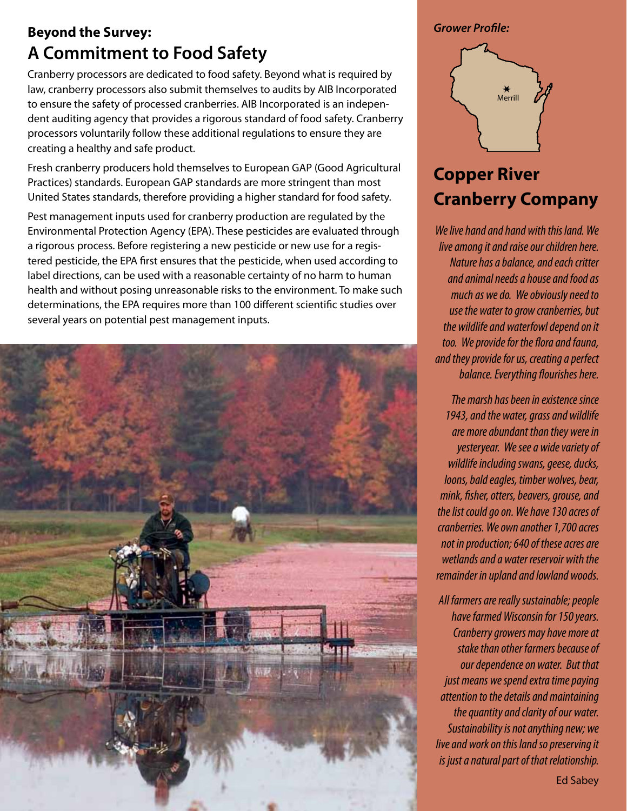### **Beyond the Survey: A Commitment to Food Safety**

Cranberry processors are dedicated to food safety. Beyond what is required by law, cranberry processors also submit themselves to audits by AIB Incorporated to ensure the safety of processed cranberries. AIB Incorporated is an independent auditing agency that provides a rigorous standard of food safety. Cranberry processors voluntarily follow these additional regulations to ensure they are creating a healthy and safe product.

Fresh cranberry producers hold themselves to European GAP (Good Agricultural Practices) standards. European GAP standards are more stringent than most United States standards, therefore providing a higher standard for food safety.

Pest management inputs used for cranberry production are regulated by the Environmental Protection Agency (EPA). These pesticides are evaluated through a rigorous process. Before registering a new pesticide or new use for a registered pesticide, the EPA first ensures that the pesticide, when used according to label directions, can be used with a reasonable certainty of no harm to human health and without posing unreasonable risks to the environment. To make such determinations, the EPA requires more than 100 different scientific studies over several years on potential pest management inputs.



*Grower Profile:* 



## **Copper River Cranberry Company**

*We live hand and hand with this land. We live among it and raise our children here. Nature has a balance, and each critter and animal needs a house and food as much as we do. We obviously need to use the water to grow cranberries, but the wildlife and waterfowl depend on it too. We provide for the flora and fauna, and they provide for us, creating a perfect balance. Everything flourishes here.* 

*The marsh has been in existence since 1943, and the water, grass and wildlife are more abundant than they were in yesteryear. We see a wide variety of wildlife including swans, geese, ducks, loons, bald eagles, timber wolves, bear, mink, fisher, otters, beavers, grouse, and the list could go on. We have 130 acres of cranberries. We own another 1,700 acres not in production; 640 of these acres are wetlands and a water reservoir with the remainder in upland and lowland woods.* 

*All farmers are really sustainable; people have farmed Wisconsin for 150 years. Cranberry growers may have more at stake than other farmers because of our dependence on water. But that just means we spend extra time paying attention to the details and maintaining the quantity and clarity of our water. Sustainability is not anything new; we live and work on this land so preserving it is just a natural part of that relationship.* 

Ed Sabey